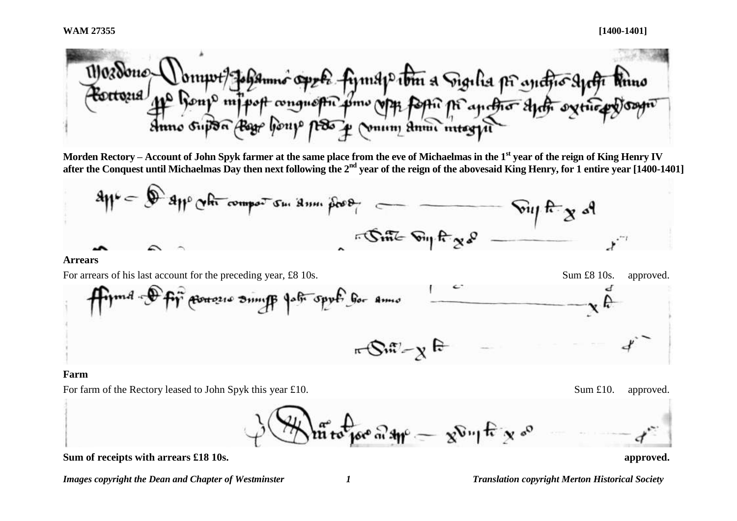Worrywt Johanno oppte fyrnspirtin a Sigilia pi anctio syrtic<br>11º Ronp mipot conquestic sime opp form pi anctio syrtic syrtic p<br>simo supon Beg houp pro y voum simi misgyn Mozdone-

**Morden Rectory – Account of John Spyk farmer at the same place from the eve of Michaelmas in the 1st year of the reign of King Henry IV after the Conquest until Michaelmas Day then next following the 2nd year of the reign of the abovesaid King Henry, for 1 entire year [1400-1401]**



### **Arrears**

For arrears of his last account for the preceding year, £8 10s. Sum £8 10s. Sum £8 10s. approved. Procession Simil part sport for Amis  $\pi$ Sut $\mathcal{L}_X$  F

#### **Farm**

For farm of the Rectory leased to John Spyk this year £10. Sum £10. Sum £10. approved.

 $\sin \theta$  and  $\sin \theta = \cos \theta$  in  $\sin \theta$  is  $\cos \theta$ 

**Sum of receipts with arrears £18 10s. approved.**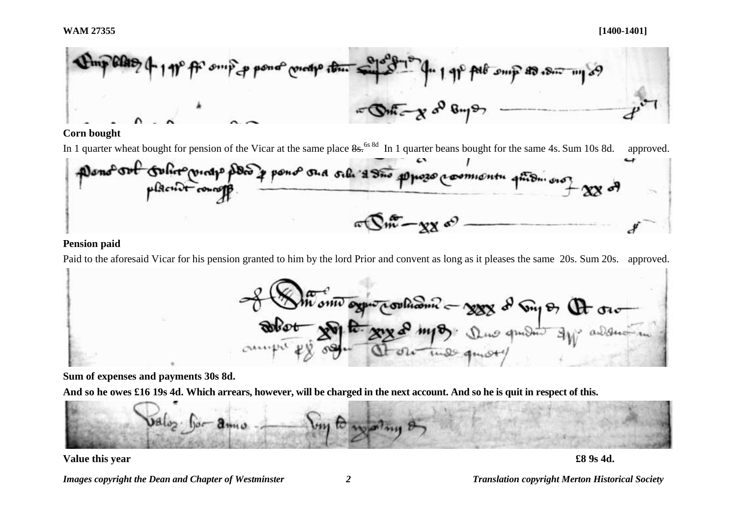

## **Corn bought**

In 1 quarter wheat bought for pension of the Vicar at the same place  $8s^{688d}$  In 1 quarter beans bought for the same 4s. Sum 10s 8d. approved.



# **Pension paid**

Paid to the aforesaid Vicar for his pension granted to him by the lord Prior and convent as long as it pleases the same 20s. Sum 20s. approved.



**Sum of expenses and payments 30s 8d.** 

**And so he owes £16 19s 4d. Which arrears, however, will be charged in the next account. And so he is quit in respect of this.**



## **Value this year £8 9s 4d.**